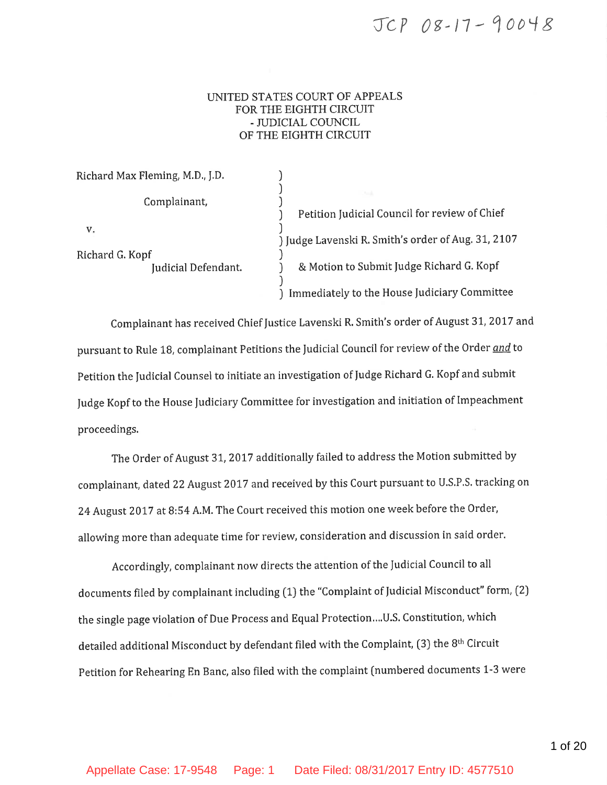# JCP 08-17-90048

### UNITED STATES COURT OF APPEALS FOR THE EIGHTH CIRCUIT - JUDICIAL COUNCIL OF THE EIGHTH CIRCUIT

| Richard Max Fleming, M.D., J.D.              |                                                    |
|----------------------------------------------|----------------------------------------------------|
| Complainant,                                 |                                                    |
|                                              | Petition Judicial Council for review of Chief      |
| v.<br>Richard G. Kopf<br>Judicial Defendant. | ) Judge Lavenski R. Smith's order of Aug. 31, 2107 |
|                                              | & Motion to Submit Judge Richard G. Kopf           |
|                                              | Immediately to the House Judiciary Committee       |

Complainant has received Chief Justice Lavenski R. Smith's order of August 31, 2017 and pursuant to Rule 18, complainant Petitions the Judicial Council for review of the Order and to Petition the Judicial Counsel to initiate an investigation of Judge Richard G. Kopf and submit Judge Kopf to the House Judiciary Committee for investigation and initiation of Impeachment proceedings.

The Order of August 31, 2017 additionally failed to address the Motion submitted by complainant, dated 22 August 2017 and received by this Court pursuant to U.S.P.S. tracking on 24 August 2017 at 8:54 A.M. The Court received this motion one week before the Order, allowing more than adequate time for review, consideration and discussion in said order.

Accordingly, complainant now directs the attention of the Judicial Council to all documents filed by complainant including (1) the "Complaint of Judicial Misconduct" form, (2) the single page violation of Due Process and Equal Protection....U.S. Constitution, which detailed additional Misconduct by defendant filed with the Complaint, (3) the 8<sup>th</sup> Circuit Petition for Rehearing En Banc, also filed with the complaint (numbered documents 1-3 were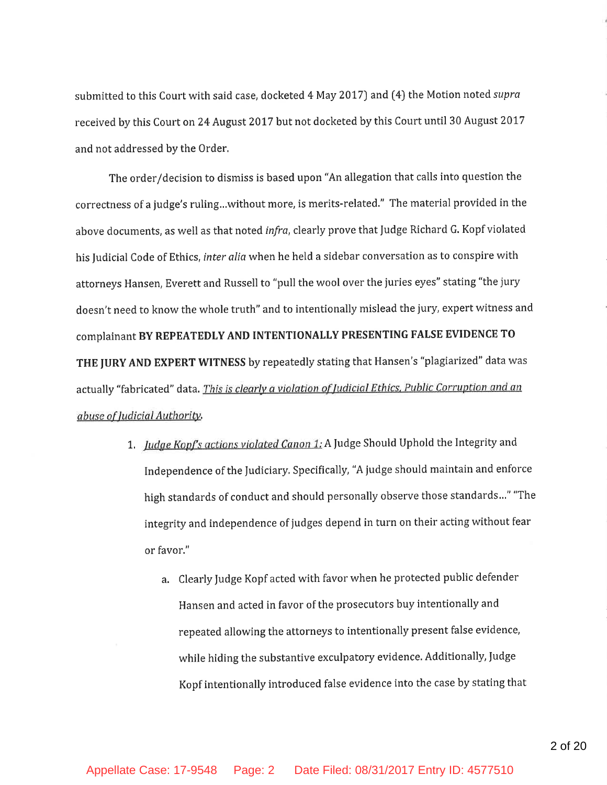submitted to this Court with said case, docketed 4 May 2017) and (4) the Motion noted supra received by this Court on 24 August 2017 but not docketed by this Court until 30 August 2017 and not addressed by the Order.

The order/decision to dismiss is based upon "An allegation that calls into question the correctness of a judge's ruling...without more, is merits-related." The material provided in the above documents, as well as that noted infra, clearly prove that Judge Richard G. Kopf violated his Judicial Code of Ethics, inter alia when he held a sidebar conversation as to conspire with attorneys Hansen, Everett and Russell to "pull the wool over the juries eyes" stating "the jury doesn't need to know the whole truth" and to intentionally mislead the jury, expert witness and complainant BY REPEATEDLY AND INTENTIONALLY PRESENTING FALSE EVIDENCE TO THE JURY AND EXPERT WITNESS by repeatedly stating that Hansen's "plagiarized" data was actually "fabricated" data. This is clearly a violation of Judicial Ethics, Public Corruption and an abuse of Judicial Authority.

- 1. Judge Kopf's actions violated Canon 1: A Judge Should Uphold the Integrity and Independence of the Judiciary. Specifically, "A judge should maintain and enforce high standards of conduct and should personally observe those standards..." "The integrity and independence of judges depend in turn on their acting without fear or favor."
	- a. Clearly Judge Kopf acted with favor when he protected public defender Hansen and acted in favor of the prosecutors buy intentionally and repeated allowing the attorneys to intentionally present false evidence, while hiding the substantive exculpatory evidence. Additionally, Judge Kopf intentionally introduced false evidence into the case by stating that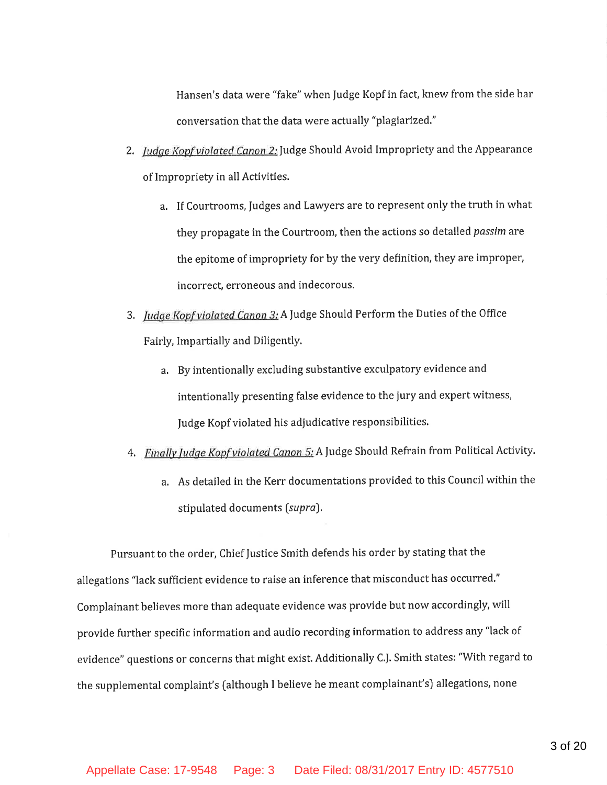Hansen's data were "fake" when Judge Kopf in fact, knew from the side bar conversation that the data were actually "plagiarized."

- 2. Judge Kopf violated Canon 2: Judge Should Avoid Impropriety and the Appearance of Impropriety in all Activities.
	- a. If Courtrooms, Judges and Lawyers are to represent only the truth in what they propagate in the Courtroom, then the actions so detailed passim are the epitome of impropriety for by the very definition, they are improper, incorrect, erroneous and indecorous.
- 3. Judge Kopf violated Canon 3: A Judge Should Perform the Duties of the Office Fairly, Impartially and Diligently.
	- a. By intentionally excluding substantive exculpatory evidence and intentionally presenting false evidence to the jury and expert witness, Judge Kopf violated his adjudicative responsibilities.
- 4. Finally Judge Kopf violated Canon 5: A Judge Should Refrain from Political Activity.
	- a. As detailed in the Kerr documentations provided to this Council within the stipulated documents (supra).

Pursuant to the order, Chief Justice Smith defends his order by stating that the allegations "lack sufficient evidence to raise an inference that misconduct has occurred." Complainant believes more than adequate evidence was provide but now accordingly, will provide further specific information and audio recording information to address any "lack of evidence" questions or concerns that might exist. Additionally C.J. Smith states: "With regard to the supplemental complaint's (although I believe he meant complainant's) allegations, none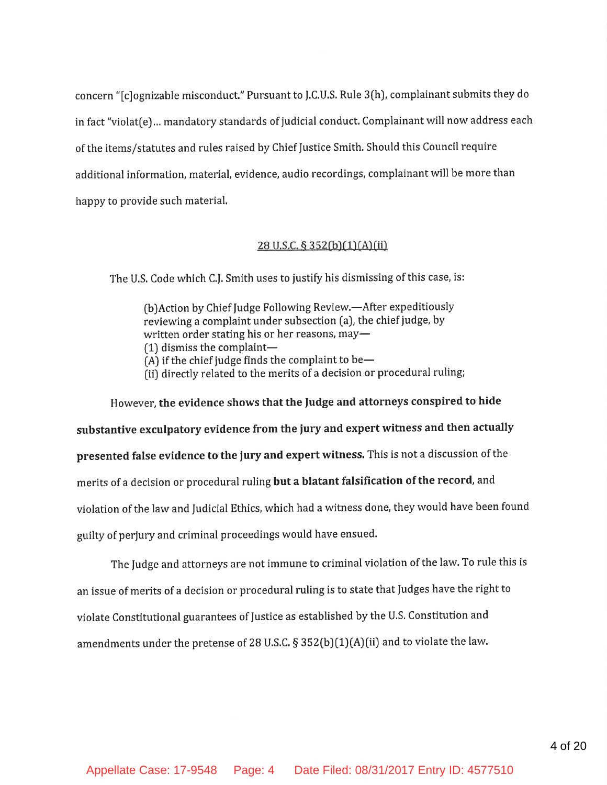concern "[c]ognizable misconduct." Pursuant to J.C.U.S. Rule 3(h), complainant submits they do in fact "violat(e)... mandatory standards of judicial conduct. Complainant will now address each of the items/statutes and rules raised by Chief Justice Smith. Should this Council require additional information, material, evidence, audio recordings, complainant will be more than happy to provide such material.

#### 28 U.S.C. § 352(b)(1)(A)(ii)

The U.S. Code which C.J. Smith uses to justify his dismissing of this case, is:

(b) Action by Chief Judge Following Review.—After expeditiously reviewing a complaint under subsection (a), the chief judge, by written order stating his or her reasons, may- $(1)$  dismiss the complaint-(A) if the chief judge finds the complaint to be-

(ii) directly related to the merits of a decision or procedural ruling;

However, the evidence shows that the Judge and attorneys conspired to hide substantive exculpatory evidence from the jury and expert witness and then actually presented false evidence to the jury and expert witness. This is not a discussion of the merits of a decision or procedural ruling but a blatant falsification of the record, and violation of the law and Judicial Ethics, which had a witness done, they would have been found guilty of perjury and criminal proceedings would have ensued.

The Judge and attorneys are not immune to criminal violation of the law. To rule this is an issue of merits of a decision or procedural ruling is to state that Judges have the right to violate Constitutional guarantees of Justice as established by the U.S. Constitution and amendments under the pretense of 28 U.S.C. § 352(b)(1)(A)(ii) and to violate the law.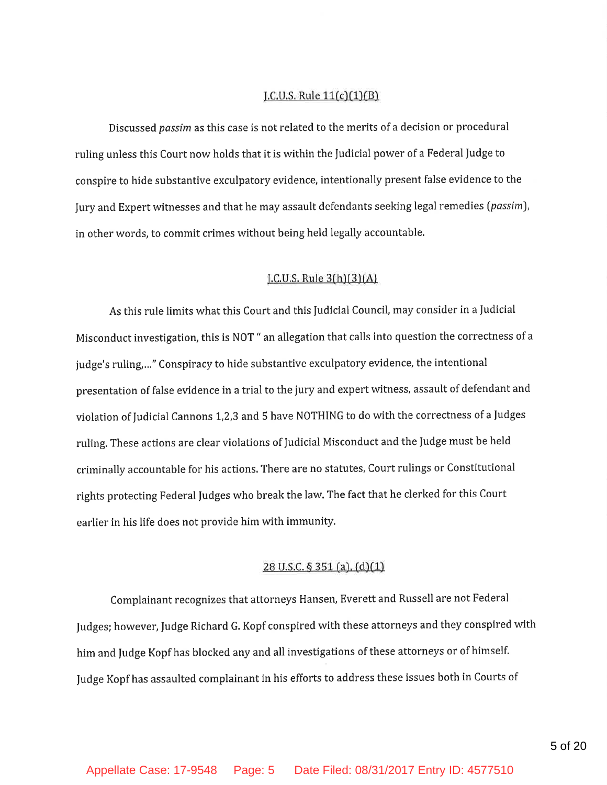### <u>J.C.U.S. Rule  $11(c)(1)(B)$ </u>

Discussed passim as this case is not related to the merits of a decision or procedural ruling unless this Court now holds that it is within the Judicial power of a Federal Judge to conspire to hide substantive exculpatory evidence, intentionally present false evidence to the Jury and Expert witnesses and that he may assault defendants seeking legal remedies (passim), in other words, to commit crimes without being held legally accountable.

#### $L.C.U.S. Rule 3(h)(3)(A)$

As this rule limits what this Court and this Judicial Council, may consider in a Judicial Misconduct investigation, this is NOT " an allegation that calls into question the correctness of a judge's ruling,..." Conspiracy to hide substantive exculpatory evidence, the intentional presentation of false evidence in a trial to the jury and expert witness, assault of defendant and violation of Judicial Cannons 1,2,3 and 5 have NOTHING to do with the correctness of a Judges ruling. These actions are clear violations of Judicial Misconduct and the Judge must be held criminally accountable for his actions. There are no statutes, Court rulings or Constitutional rights protecting Federal Judges who break the law. The fact that he clerked for this Court earlier in his life does not provide him with immunity.

### $28$  U.S.C. § 351 (a). (d)(1)

Complainant recognizes that attorneys Hansen, Everett and Russell are not Federal Judges; however, Judge Richard G. Kopf conspired with these attorneys and they conspired with him and Judge Kopf has blocked any and all investigations of these attorneys or of himself. Judge Kopf has assaulted complainant in his efforts to address these issues both in Courts of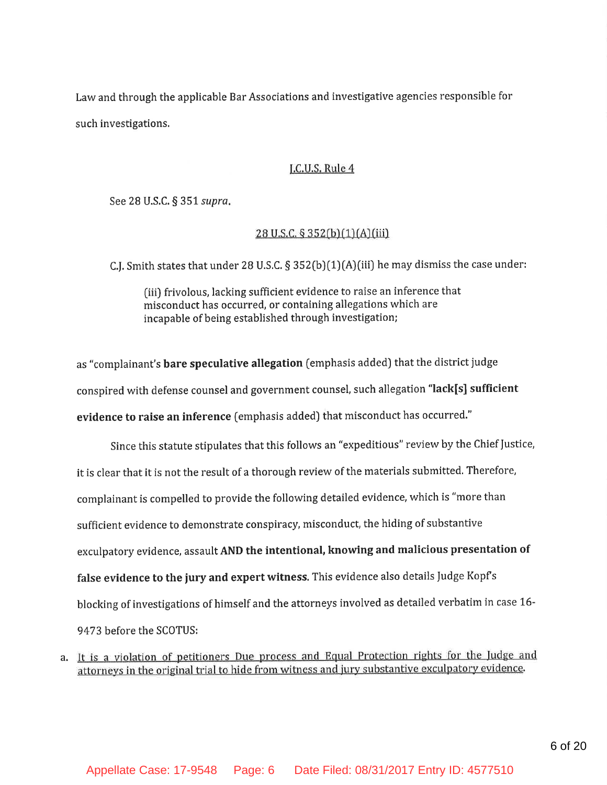Law and through the applicable Bar Associations and investigative agencies responsible for such investigations.

#### J.C.U.S. Rule 4

See 28 U.S.C. § 351 supra.

#### 28 U.S.C. § 352(b)(1)(A)(iii)

C.J. Smith states that under 28 U.S.C. § 352(b)(1)(A)(iii) he may dismiss the case under:

(iii) frivolous, lacking sufficient evidence to raise an inference that misconduct has occurred, or containing allegations which are incapable of being established through investigation;

as "complainant's bare speculative allegation (emphasis added) that the district judge conspired with defense counsel and government counsel, such allegation "lack[s] sufficient evidence to raise an inference (emphasis added) that misconduct has occurred."

Since this statute stipulates that this follows an "expeditious" review by the Chief Justice, it is clear that it is not the result of a thorough review of the materials submitted. Therefore, complainant is compelled to provide the following detailed evidence, which is "more than sufficient evidence to demonstrate conspiracy, misconduct, the hiding of substantive exculpatory evidence, assault AND the intentional, knowing and malicious presentation of false evidence to the jury and expert witness. This evidence also details Judge Kopf's blocking of investigations of himself and the attorneys involved as detailed verbatim in case 16-9473 before the SCOTUS:

a. It is a violation of petitioners Due process and Equal Protection rights for the Judge and attorneys in the original trial to hide from witness and jury substantive exculpatory evidence.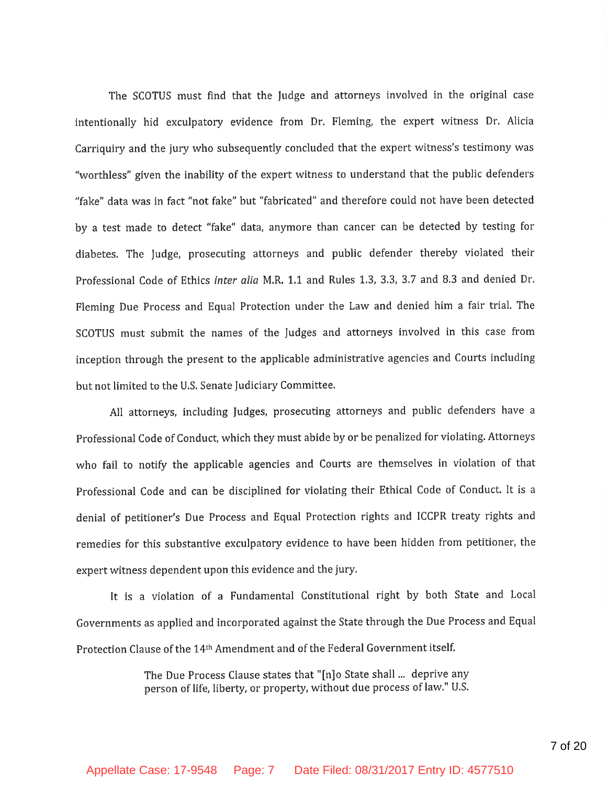The SCOTUS must find that the Judge and attorneys involved in the original case intentionally hid exculpatory evidence from Dr. Fleming, the expert witness Dr. Alicia Carriquiry and the jury who subsequently concluded that the expert witness's testimony was "worthless" given the inability of the expert witness to understand that the public defenders "fake" data was in fact "not fake" but "fabricated" and therefore could not have been detected by a test made to detect "fake" data, anymore than cancer can be detected by testing for diabetes. The Judge, prosecuting attorneys and public defender thereby violated their Professional Code of Ethics inter alia M.R. 1.1 and Rules 1.3, 3.3, 3.7 and 8.3 and denied Dr. Fleming Due Process and Equal Protection under the Law and denied him a fair trial. The SCOTUS must submit the names of the Judges and attorneys involved in this case from inception through the present to the applicable administrative agencies and Courts including but not limited to the U.S. Senate Judiciary Committee.

All attorneys, including Judges, prosecuting attorneys and public defenders have a Professional Code of Conduct, which they must abide by or be penalized for violating. Attorneys who fail to notify the applicable agencies and Courts are themselves in violation of that Professional Code and can be disciplined for violating their Ethical Code of Conduct. It is a denial of petitioner's Due Process and Equal Protection rights and ICCPR treaty rights and remedies for this substantive exculpatory evidence to have been hidden from petitioner, the expert witness dependent upon this evidence and the jury.

It is a violation of a Fundamental Constitutional right by both State and Local Governments as applied and incorporated against the State through the Due Process and Equal Protection Clause of the 14th Amendment and of the Federal Government itself.

> The Due Process Clause states that "[n]o State shall ... deprive any person of life, liberty, or property, without due process of law." U.S.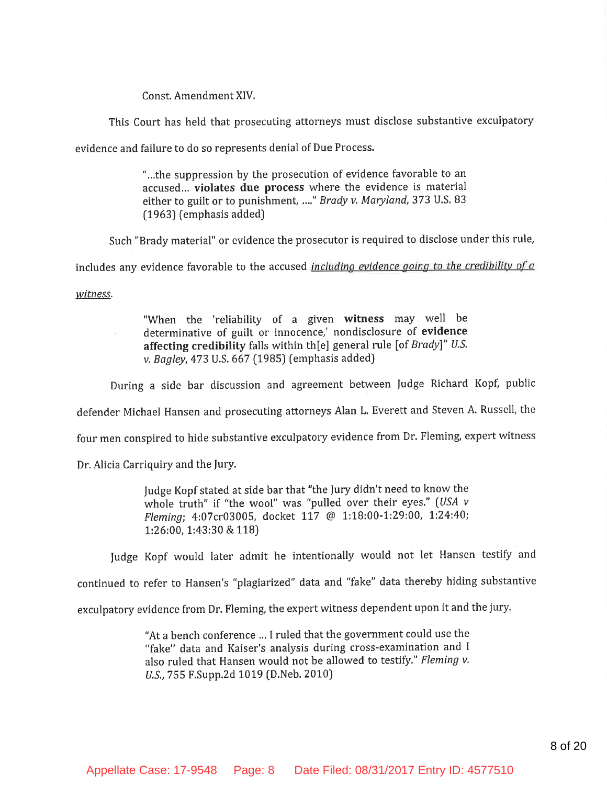Const. Amendment XIV.

This Court has held that prosecuting attorneys must disclose substantive exculpatory

evidence and failure to do so represents denial of Due Process.

"...the suppression by the prosecution of evidence favorable to an accused... violates due process where the evidence is material either to guilt or to punishment, ...." Brady v. Maryland, 373 U.S. 83 (1963) (emphasis added)

Such "Brady material" or evidence the prosecutor is required to disclose under this rule,

includes any evidence favorable to the accused *including evidence going to the credibility of a* 

witness.

 $\mathcal{C}$  .

"When the 'reliability of a given witness may well be determinative of guilt or innocence,' nondisclosure of evidence affecting credibility falls within th[e] general rule [of  $Brady$ ]" U.S. v. Bagley, 473 U.S. 667 (1985) (emphasis added)

During a side bar discussion and agreement between Judge Richard Kopf, public

defender Michael Hansen and prosecuting attorneys Alan L. Everett and Steven A. Russell, the

four men conspired to hide substantive exculpatory evidence from Dr. Fleming, expert witness

Dr. Alicia Carriquiry and the Jury.

Judge Kopf stated at side bar that "the Jury didn't need to know the whole truth" if "the wool" was "pulled over their eyes." (USA v Fleming; 4:07cr03005, docket 117 @ 1:18:00-1:29:00, 1:24:40; 1:26:00, 1:43:30 & 118)

Judge Kopf would later admit he intentionally would not let Hansen testify and

continued to refer to Hansen's "plagiarized" data and "fake" data thereby hiding substantive

exculpatory evidence from Dr. Fleming, the expert witness dependent upon it and the jury.

"At a bench conference ... I ruled that the government could use the "fake" data and Kaiser's analysis during cross-examination and I also ruled that Hansen would not be allowed to testify." Fleming v. U.S., 755 F.Supp.2d 1019 (D.Neb. 2010)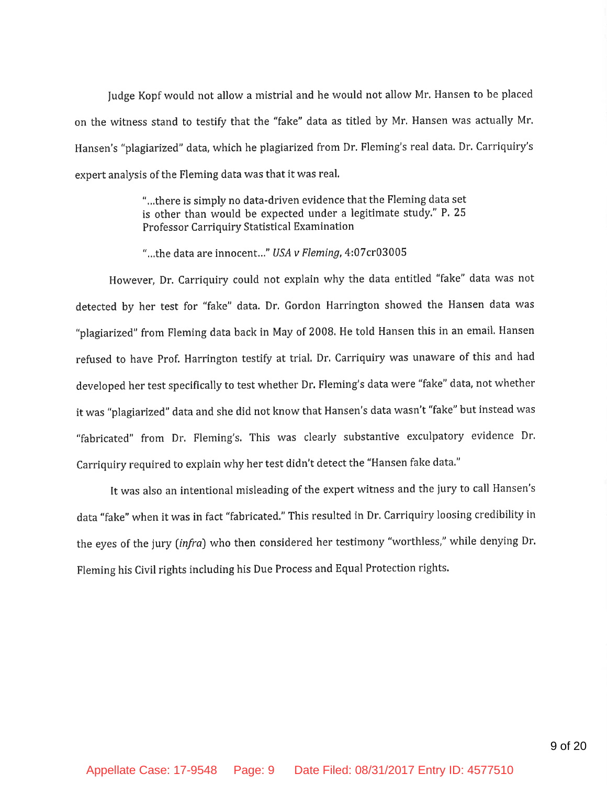Judge Kopf would not allow a mistrial and he would not allow Mr. Hansen to be placed on the witness stand to testify that the "fake" data as titled by Mr. Hansen was actually Mr. Hansen's "plagiarized" data, which he plagiarized from Dr. Fleming's real data. Dr. Carriquiry's expert analysis of the Fleming data was that it was real.

> "...there is simply no data-driven evidence that the Fleming data set is other than would be expected under a legitimate study." P. 25 Professor Carriquiry Statistical Examination

"...the data are innocent..." USA v Fleming, 4:07cr03005

However, Dr. Carriquiry could not explain why the data entitled "fake" data was not detected by her test for "fake" data. Dr. Gordon Harrington showed the Hansen data was "plagiarized" from Fleming data back in May of 2008. He told Hansen this in an email. Hansen refused to have Prof. Harrington testify at trial. Dr. Carriquiry was unaware of this and had developed her test specifically to test whether Dr. Fleming's data were "fake" data, not whether it was "plagiarized" data and she did not know that Hansen's data wasn't "fake" but instead was "fabricated" from Dr. Fleming's. This was clearly substantive exculpatory evidence Dr. Carriquiry required to explain why her test didn't detect the "Hansen fake data."

It was also an intentional misleading of the expert witness and the jury to call Hansen's data "fake" when it was in fact "fabricated." This resulted in Dr. Carriquiry loosing credibility in the eyes of the jury (infra) who then considered her testimony "worthless," while denying Dr. Fleming his Civil rights including his Due Process and Equal Protection rights.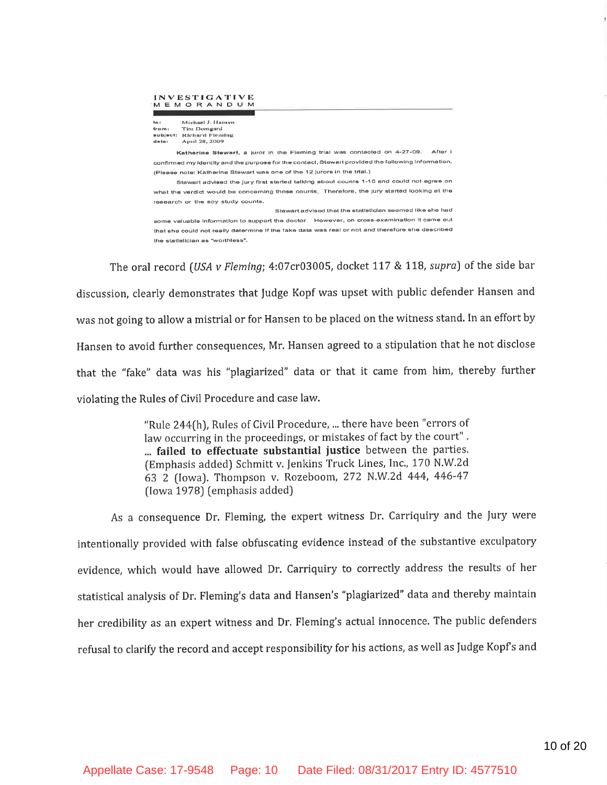#### **INVESTIGATIVE** MEMORANDUM

| to:      | Michael J. Hansen |
|----------|-------------------|
| from:    | Tim Domgard       |
| sublect: | Richard Fleming   |
| date:    | April 28, 2009    |

Katherine Stewart, a juror in the Fleming trial was contacted on 4-27-09. After I confirmed my identity and the purpose for the contact, Stewart provided the following information. (Please note: Katherine Stewart was one of the 12 jurors in the trial.)

Stewart advised the jury first started talking about counts 1-10 and could not agree on what the verdict would be concerning those counts. Therefore, the jury started looking at the research or the soy study counts.

Stewart advised that the statistician seemed like she had some valuable information to support the doctor. However, on cross-examination it came out that she could not really determine if the fake data was real or not and therefore she described the statistician as "worthless".

The oral record *(USA v Fleming*; 4:07cr03005, docket 117 & 118, *supra*) of the side bar discussion, clearly demonstrates that Judge Kopf was upset with public defender Hansen and was not going to allow a mistrial or for Hansen to be placed on the witness stand. In an effort by Hansen to avoid further consequences, Mr. Hansen agreed to a stipulation that he not disclose that the "fake" data was his "plagiarized" data or that it came from him, thereby further violating the Rules of Civil Procedure and case law.

> "Rule 244(h), Rules of Civil Procedure, ... there have been "errors of law occurring in the proceedings, or mistakes of fact by the court". ... failed to effectuate substantial justice between the parties. (Emphasis added) Schmitt v. Jenkins Truck Lines, Inc., 170 N.W.2d 63 2 (Iowa). Thompson v. Rozeboom, 272 N.W.2d 444, 446-47 (Iowa 1978) (emphasis added)

As a consequence Dr. Fleming, the expert witness Dr. Carriquiry and the Jury were intentionally provided with false obfuscating evidence instead of the substantive exculpatory evidence, which would have allowed Dr. Carriquiry to correctly address the results of her statistical analysis of Dr. Fleming's data and Hansen's "plagiarized" data and thereby maintain her credibility as an expert witness and Dr. Fleming's actual innocence. The public defenders refusal to clarify the record and accept responsibility for his actions, as well as Judge Kopf's and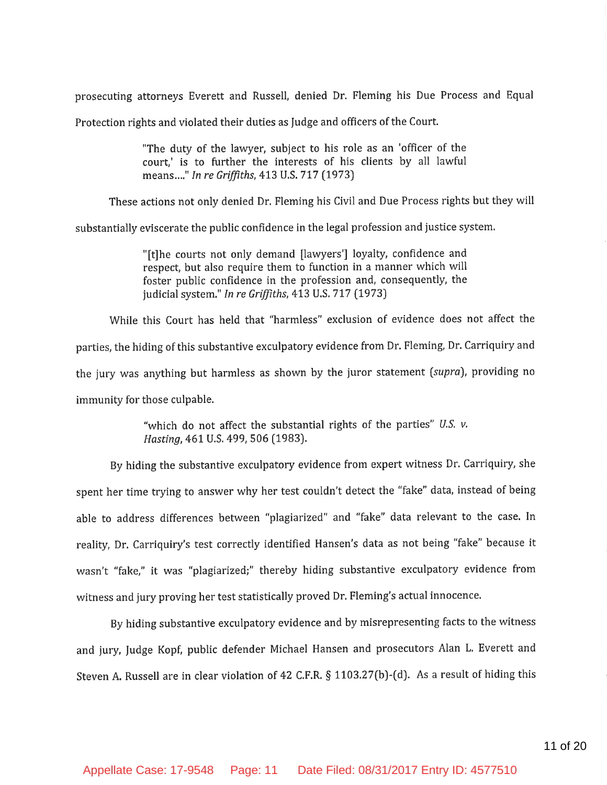prosecuting attorneys Everett and Russell, denied Dr. Fleming his Due Process and Equal

Protection rights and violated their duties as Judge and officers of the Court.

"The duty of the lawyer, subject to his role as an 'officer of the court,' is to further the interests of his clients by all lawful means..." In re Griffiths, 413 U.S. 717 (1973)

These actions not only denied Dr. Fleming his Civil and Due Process rights but they will

substantially eviscerate the public confidence in the legal profession and justice system.

"[t]he courts not only demand [lawyers'] loyalty, confidence and respect, but also require them to function in a manner which will foster public confidence in the profession and, consequently, the judicial system." In re Griffiths, 413 U.S. 717 (1973)

While this Court has held that "harmless" exclusion of evidence does not affect the parties, the hiding of this substantive exculpatory evidence from Dr. Fleming, Dr. Carriquiry and the jury was anything but harmless as shown by the juror statement (supra), providing no immunity for those culpable.

> "which do not affect the substantial rights of the parties" U.S. v. Hasting, 461 U.S. 499, 506 (1983).

By hiding the substantive exculpatory evidence from expert witness Dr. Carriquiry, she spent her time trying to answer why her test couldn't detect the "fake" data, instead of being able to address differences between "plagiarized" and "fake" data relevant to the case. In reality, Dr. Carriquiry's test correctly identified Hansen's data as not being "fake" because it wasn't "fake," it was "plagiarized;" thereby hiding substantive exculpatory evidence from witness and jury proving her test statistically proved Dr. Fleming's actual innocence.

By hiding substantive exculpatory evidence and by misrepresenting facts to the witness and jury, Judge Kopf, public defender Michael Hansen and prosecutors Alan L. Everett and Steven A. Russell are in clear violation of 42 C.F.R. § 1103.27(b)-(d). As a result of hiding this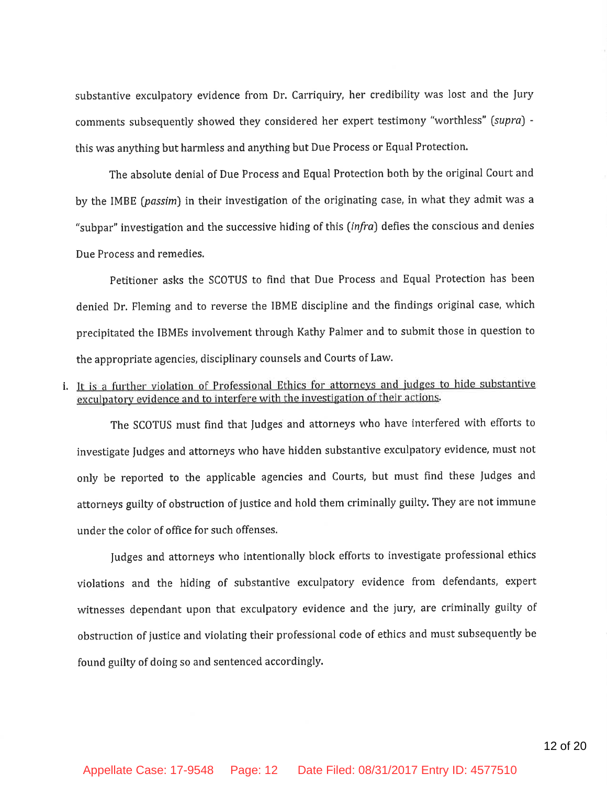substantive exculpatory evidence from Dr. Carriquiry, her credibility was lost and the Jury comments subsequently showed they considered her expert testimony "worthless" (supra) this was anything but harmless and anything but Due Process or Equal Protection.

The absolute denial of Due Process and Equal Protection both by the original Court and by the IMBE (passim) in their investigation of the originating case, in what they admit was a "subpar" investigation and the successive hiding of this (infra) defies the conscious and denies Due Process and remedies.

Petitioner asks the SCOTUS to find that Due Process and Equal Protection has been denied Dr. Fleming and to reverse the IBME discipline and the findings original case, which precipitated the IBMEs involvement through Kathy Palmer and to submit those in question to the appropriate agencies, disciplinary counsels and Courts of Law.

## i. It is a further violation of Professional Ethics for attorneys and judges to hide substantive exculpatory evidence and to interfere with the investigation of their actions.

The SCOTUS must find that Judges and attorneys who have interfered with efforts to investigate Judges and attorneys who have hidden substantive exculpatory evidence, must not only be reported to the applicable agencies and Courts, but must find these Judges and attorneys guilty of obstruction of justice and hold them criminally guilty. They are not immune under the color of office for such offenses.

Judges and attorneys who intentionally block efforts to investigate professional ethics violations and the hiding of substantive exculpatory evidence from defendants, expert witnesses dependant upon that exculpatory evidence and the jury, are criminally guilty of obstruction of justice and violating their professional code of ethics and must subsequently be found guilty of doing so and sentenced accordingly.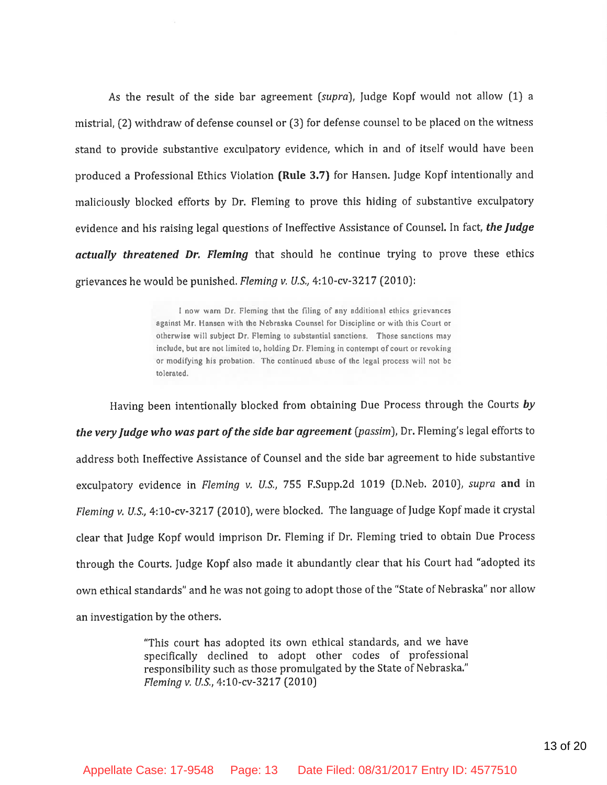As the result of the side bar agreement (supra), Judge Kopf would not allow (1) a mistrial, (2) withdraw of defense counsel or (3) for defense counsel to be placed on the witness stand to provide substantive exculpatory evidence, which in and of itself would have been produced a Professional Ethics Violation (Rule 3.7) for Hansen. Judge Kopf intentionally and maliciously blocked efforts by Dr. Fleming to prove this hiding of substantive exculpatory evidence and his raising legal questions of Ineffective Assistance of Counsel. In fact, the Judge actually threatened Dr. Fleming that should he continue trying to prove these ethics grievances he would be punished. Fleming v. U.S., 4:10-cv-3217 (2010):

> I now warn Dr. Fleming that the filing of any additional ethics grievances against Mr. Hansen with the Nebraska Counsel for Discipline or with this Court or otherwise will subject Dr. Fleming to substantial sanctions. Those sanctions may include, but are not limited to, holding Dr. Fleming in contempt of court or revoking or modifying his probation. The continued abuse of the legal process will not be tolerated.

Having been intentionally blocked from obtaining Due Process through the Courts by the very Judge who was part of the side bar agreement (passim), Dr. Fleming's legal efforts to address both Ineffective Assistance of Counsel and the side bar agreement to hide substantive exculpatory evidence in Fleming v. U.S., 755 F.Supp.2d 1019 (D.Neb. 2010), supra and in Fleming v. U.S., 4:10-cv-3217 (2010), were blocked. The language of Judge Kopf made it crystal clear that Judge Kopf would imprison Dr. Fleming if Dr. Fleming tried to obtain Due Process through the Courts. Judge Kopf also made it abundantly clear that his Court had "adopted its" own ethical standards" and he was not going to adopt those of the "State of Nebraska" nor allow an investigation by the others.

> "This court has adopted its own ethical standards, and we have specifically declined to adopt other codes of professional responsibility such as those promulgated by the State of Nebraska." Fleming v. U.S., 4:10-cv-3217 (2010)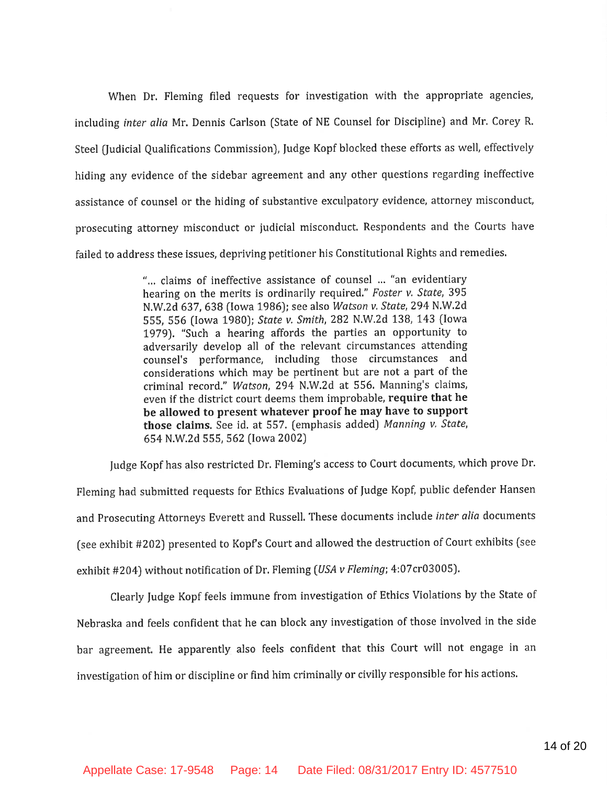When Dr. Fleming filed requests for investigation with the appropriate agencies, including inter alia Mr. Dennis Carlson (State of NE Counsel for Discipline) and Mr. Corey R. Steel (Judicial Qualifications Commission), Judge Kopf blocked these efforts as well, effectively hiding any evidence of the sidebar agreement and any other questions regarding ineffective assistance of counsel or the hiding of substantive exculpatory evidence, attorney misconduct, prosecuting attorney misconduct or judicial misconduct. Respondents and the Courts have failed to address these issues, depriving petitioner his Constitutional Rights and remedies.

> "... claims of ineffective assistance of counsel ... "an evidentiary hearing on the merits is ordinarily required." Foster v. State, 395 N.W.2d 637, 638 (Iowa 1986); see also Watson v. State, 294 N.W.2d 555, 556 (Iowa 1980); State v. Smith, 282 N.W.2d 138, 143 (Iowa 1979). "Such a hearing affords the parties an opportunity to adversarily develop all of the relevant circumstances attending counsel's performance, including those circumstances and considerations which may be pertinent but are not a part of the criminal record." Watson, 294 N.W.2d at 556. Manning's claims, even if the district court deems them improbable, require that he be allowed to present whatever proof he may have to support those claims. See id. at 557. (emphasis added) Manning v. State, 654 N.W.2d 555, 562 (Iowa 2002)

Judge Kopf has also restricted Dr. Fleming's access to Court documents, which prove Dr.

Fleming had submitted requests for Ethics Evaluations of Judge Kopf, public defender Hansen and Prosecuting Attorneys Everett and Russell. These documents include inter alia documents (see exhibit #202) presented to Kopf's Court and allowed the destruction of Court exhibits (see exhibit #204) without notification of Dr. Fleming (USA v Fleming; 4:07cr03005).

Clearly Judge Kopf feels immune from investigation of Ethics Violations by the State of Nebraska and feels confident that he can block any investigation of those involved in the side bar agreement. He apparently also feels confident that this Court will not engage in an investigation of him or discipline or find him criminally or civilly responsible for his actions.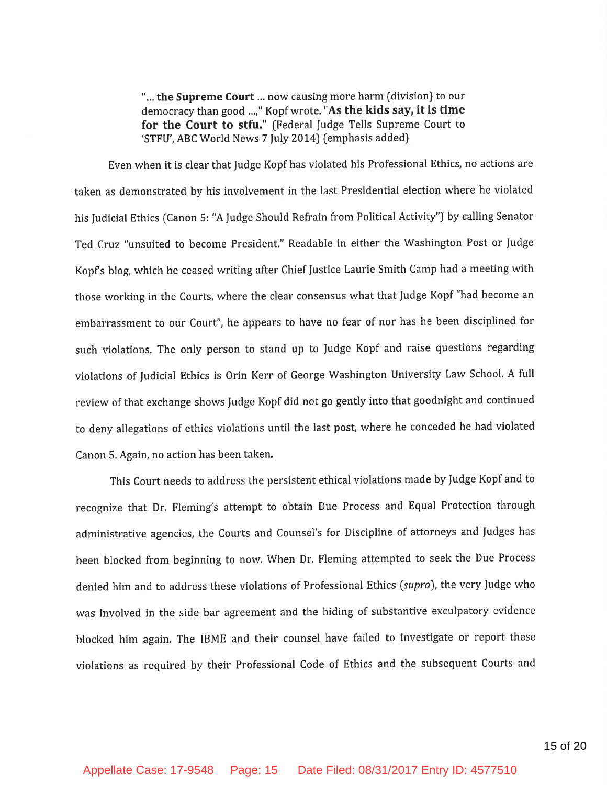"... the Supreme Court ... now causing more harm (division) to our democracy than good ...," Kopf wrote. "As the kids say, it is time for the Court to stfu." (Federal Judge Tells Supreme Court to 'STFU'. ABC World News 7 July 2014) (emphasis added)

Even when it is clear that Judge Kopf has violated his Professional Ethics, no actions are taken as demonstrated by his involvement in the last Presidential election where he violated his Judicial Ethics (Canon 5: "A Judge Should Refrain from Political Activity") by calling Senator Ted Cruz "unsuited to become President." Readable in either the Washington Post or Judge Kopf's blog, which he ceased writing after Chief Justice Laurie Smith Camp had a meeting with those working in the Courts, where the clear consensus what that Judge Kopf "had become an embarrassment to our Court", he appears to have no fear of nor has he been disciplined for such violations. The only person to stand up to Judge Kopf and raise questions regarding violations of Judicial Ethics is Orin Kerr of George Washington University Law School. A full review of that exchange shows Judge Kopf did not go gently into that goodnight and continued to deny allegations of ethics violations until the last post, where he conceded he had violated Canon 5. Again, no action has been taken.

This Court needs to address the persistent ethical violations made by Judge Kopf and to recognize that Dr. Fleming's attempt to obtain Due Process and Equal Protection through administrative agencies, the Courts and Counsel's for Discipline of attorneys and Judges has been blocked from beginning to now. When Dr. Fleming attempted to seek the Due Process denied him and to address these violations of Professional Ethics (supra), the very Judge who was involved in the side bar agreement and the hiding of substantive exculpatory evidence blocked him again. The IBME and their counsel have failed to investigate or report these violations as required by their Professional Code of Ethics and the subsequent Courts and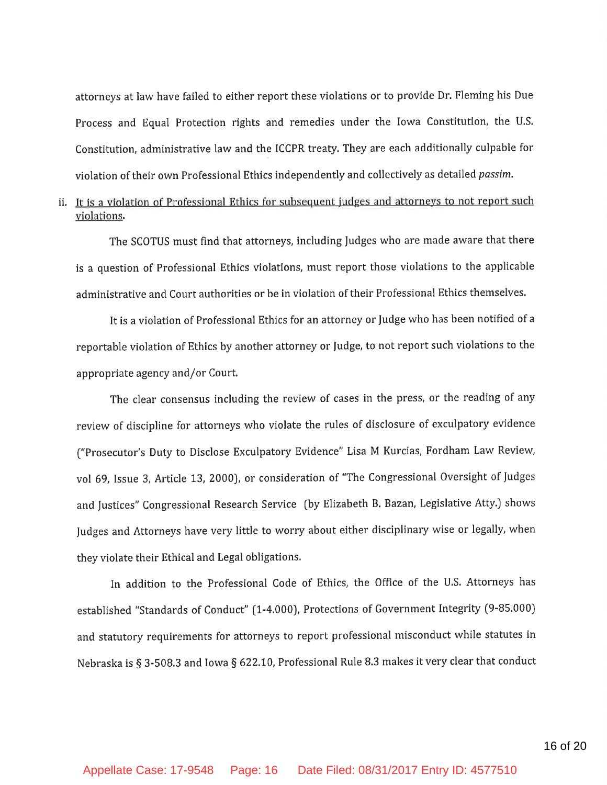attorneys at law have failed to either report these violations or to provide Dr. Fleming his Due Process and Equal Protection rights and remedies under the Iowa Constitution, the U.S. Constitution, administrative law and the ICCPR treaty. They are each additionally culpable for violation of their own Professional Ethics independently and collectively as detailed passim.

## ii. It is a violation of Professional Ethics for subsequent judges and attorneys to not report such violations.

The SCOTUS must find that attorneys, including Judges who are made aware that there is a question of Professional Ethics violations, must report those violations to the applicable administrative and Court authorities or be in violation of their Professional Ethics themselves.

It is a violation of Professional Ethics for an attorney or Judge who has been notified of a reportable violation of Ethics by another attorney or Judge, to not report such violations to the appropriate agency and/or Court.

The clear consensus including the review of cases in the press, or the reading of any review of discipline for attorneys who violate the rules of disclosure of exculpatory evidence ("Prosecutor's Duty to Disclose Exculpatory Evidence" Lisa M Kurcias, Fordham Law Review, vol 69, Issue 3, Article 13, 2000), or consideration of "The Congressional Oversight of Judges and Justices" Congressional Research Service (by Elizabeth B. Bazan, Legislative Atty.) shows Judges and Attorneys have very little to worry about either disciplinary wise or legally, when they violate their Ethical and Legal obligations.

In addition to the Professional Code of Ethics, the Office of the U.S. Attorneys has established "Standards of Conduct" (1-4.000), Protections of Government Integrity (9-85.000) and statutory requirements for attorneys to report professional misconduct while statutes in Nebraska is § 3-508.3 and Iowa § 622.10, Professional Rule 8.3 makes it very clear that conduct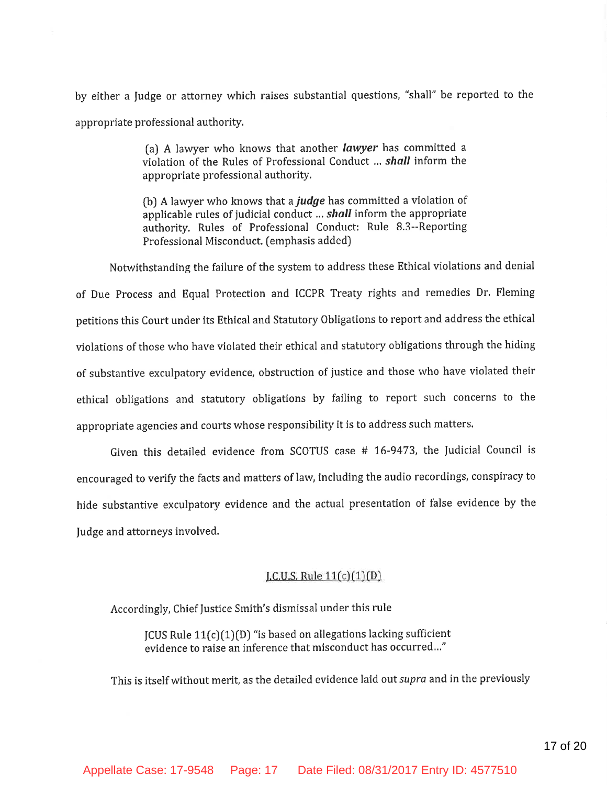by either a Judge or attorney which raises substantial questions, "shall" be reported to the appropriate professional authority.

> (a) A lawyer who knows that another *lawyer* has committed a violation of the Rules of Professional Conduct ... shall inform the appropriate professional authority.

> (b) A lawyer who knows that a *judge* has committed a violation of applicable rules of judicial conduct ... shall inform the appropriate authority. Rules of Professional Conduct: Rule 8.3--Reporting Professional Misconduct. (emphasis added)

Notwithstanding the failure of the system to address these Ethical violations and denial of Due Process and Equal Protection and ICCPR Treaty rights and remedies Dr. Fleming petitions this Court under its Ethical and Statutory Obligations to report and address the ethical violations of those who have violated their ethical and statutory obligations through the hiding of substantive exculpatory evidence, obstruction of justice and those who have violated their ethical obligations and statutory obligations by failing to report such concerns to the appropriate agencies and courts whose responsibility it is to address such matters.

Given this detailed evidence from SCOTUS case # 16-9473, the Judicial Council is encouraged to verify the facts and matters of law, including the audio recordings, conspiracy to hide substantive exculpatory evidence and the actual presentation of false evidence by the Judge and attorneys involved.

#### [.C.U.S. Rule  $11(c)(1)(D)$ ]

Accordingly, Chief Justice Smith's dismissal under this rule

 $ICUS$  Rule  $11(c)(1)(D)$  "is based on allegations lacking sufficient evidence to raise an inference that misconduct has occurred..."

This is itself without merit, as the detailed evidence laid out supra and in the previously

Appellate Case: 17-9548 Page: 17 Date Filed: 08/31/2017 Entry ID: 4577510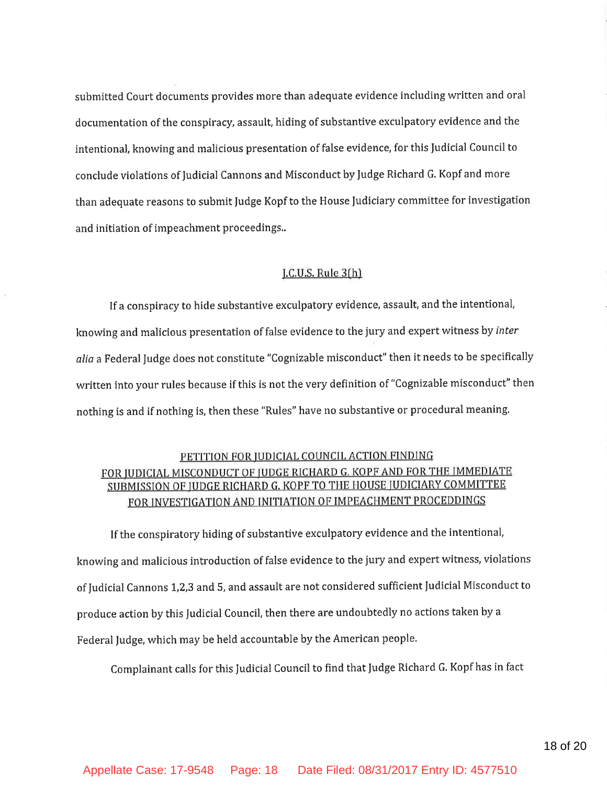submitted Court documents provides more than adequate evidence including written and oral documentation of the conspiracy, assault, hiding of substantive exculpatory evidence and the intentional, knowing and malicious presentation of false evidence, for this Judicial Council to conclude violations of Judicial Cannons and Misconduct by Judge Richard G. Kopf and more than adequate reasons to submit Judge Kopf to the House Judiciary committee for investigation and initiation of impeachment proceedings..

#### J.C.U.S. Rule 3(h)

If a conspiracy to hide substantive exculpatory evidence, assault, and the intentional, knowing and malicious presentation of false evidence to the jury and expert witness by inter alia a Federal Judge does not constitute "Cognizable misconduct" then it needs to be specifically written into your rules because if this is not the very definition of "Cognizable misconduct" then nothing is and if nothing is, then these "Rules" have no substantive or procedural meaning.

## PETITION FOR JUDICIAL COUNCIL ACTION FINDING FOR JUDICIAL MISCONDUCT OF JUDGE RICHARD G. KOPF AND FOR THE IMMEDIATE SUBMISSION OF JUDGE RICHARD G. KOPF TO THE HOUSE JUDICIARY COMMITTEE FOR INVESTIGATION AND INITIATION OF IMPEACHMENT PROCEDDINGS

If the conspiratory hiding of substantive exculpatory evidence and the intentional, knowing and malicious introduction of false evidence to the jury and expert witness, violations of Judicial Cannons 1,2,3 and 5, and assault are not considered sufficient Judicial Misconduct to produce action by this Judicial Council, then there are undoubtedly no actions taken by a Federal Judge, which may be held accountable by the American people.

Complainant calls for this Judicial Council to find that Judge Richard G. Kopf has in fact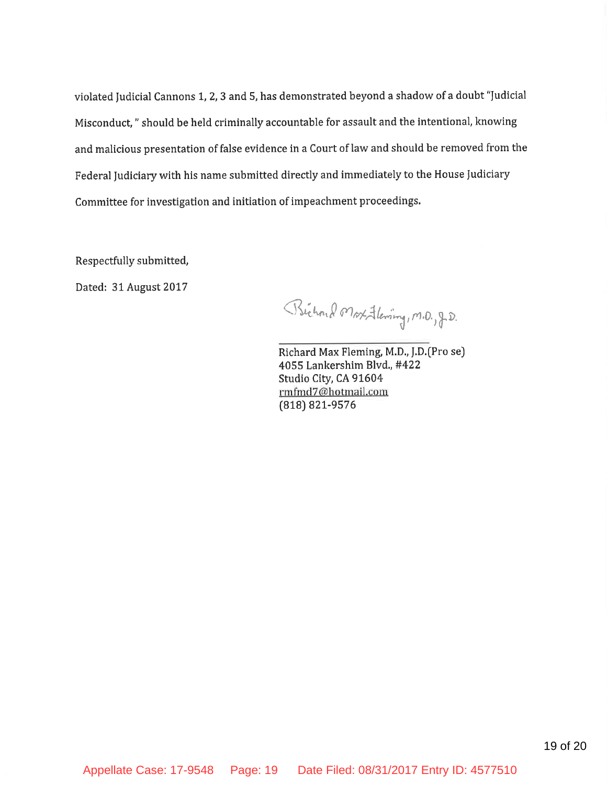violated Judicial Cannons 1, 2, 3 and 5, has demonstrated beyond a shadow of a doubt "Judicial Misconduct," should be held criminally accountable for assault and the intentional, knowing and malicious presentation of false evidence in a Court of law and should be removed from the Federal Judiciary with his name submitted directly and immediately to the House Judiciary Committee for investigation and initiation of impeachment proceedings.

Respectfully submitted,

Dated: 31 August 2017

Bichard Max Flewing, M.D., J.D.

Richard Max Fleming, M.D., J.D.(Pro se) 4055 Lankershim Blvd., #422 Studio City, CA 91604 rmfmd7@hotmail.com (818) 821-9576